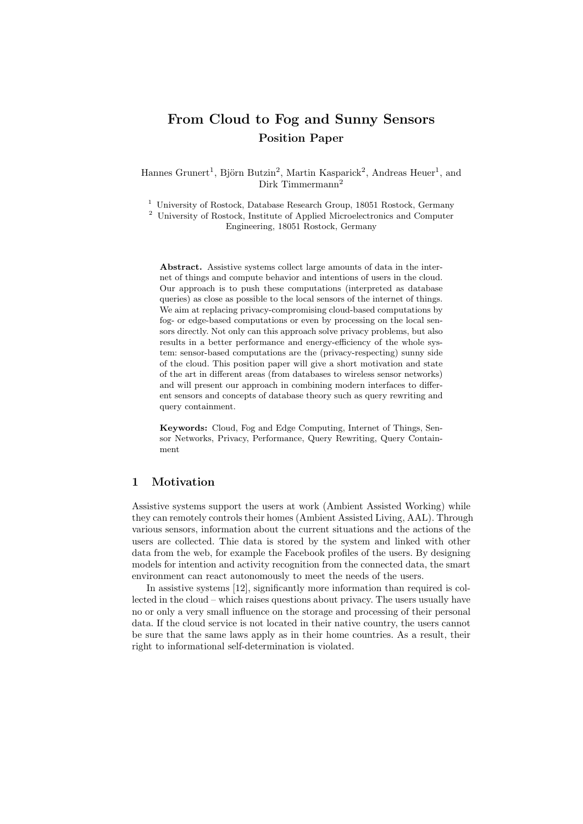# From Cloud to Fog and Sunny Sensors Position Paper

Hannes Grunert<sup>1</sup>, Björn Butzin<sup>2</sup>, Martin Kasparick<sup>2</sup>, Andreas Heuer<sup>1</sup>, and Dirk Timmermann<sup>2</sup>

 $^{\rm 1}$ University of Rostock, Database Research Group, 18051 Rostock, Germany

<sup>2</sup> University of Rostock, Institute of Applied Microelectronics and Computer Engineering, 18051 Rostock, Germany

Abstract. Assistive systems collect large amounts of data in the internet of things and compute behavior and intentions of users in the cloud. Our approach is to push these computations (interpreted as database queries) as close as possible to the local sensors of the internet of things. We aim at replacing privacy-compromising cloud-based computations by fog- or edge-based computations or even by processing on the local sensors directly. Not only can this approach solve privacy problems, but also results in a better performance and energy-efficiency of the whole system: sensor-based computations are the (privacy-respecting) sunny side of the cloud. This position paper will give a short motivation and state of the art in different areas (from databases to wireless sensor networks) and will present our approach in combining modern interfaces to different sensors and concepts of database theory such as query rewriting and query containment.

Keywords: Cloud, Fog and Edge Computing, Internet of Things, Sensor Networks, Privacy, Performance, Query Rewriting, Query Containment

### 1 Motivation

Assistive systems support the users at work (Ambient Assisted Working) while they can remotely controls their homes (Ambient Assisted Living, AAL). Through various sensors, information about the current situations and the actions of the users are collected. Thie data is stored by the system and linked with other data from the web, for example the Facebook profiles of the users. By designing models for intention and activity recognition from the connected data, the smart environment can react autonomously to meet the needs of the users.

In assistive systems [12], significantly more information than required is collected in the cloud – which raises questions about privacy. The users usually have no or only a very small influence on the storage and processing of their personal data. If the cloud service is not located in their native country, the users cannot be sure that the same laws apply as in their home countries. As a result, their right to informational self-determination is violated.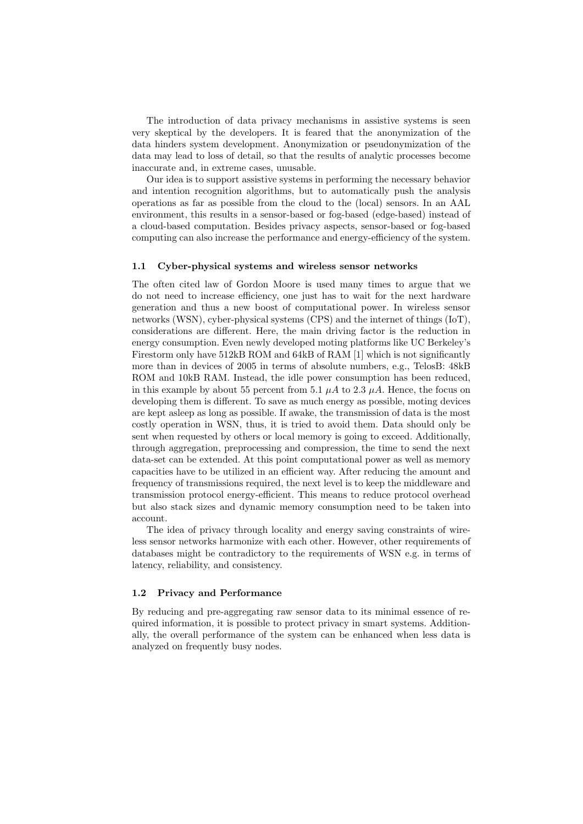The introduction of data privacy mechanisms in assistive systems is seen very skeptical by the developers. It is feared that the anonymization of the data hinders system development. Anonymization or pseudonymization of the data may lead to loss of detail, so that the results of analytic processes become inaccurate and, in extreme cases, unusable.

Our idea is to support assistive systems in performing the necessary behavior and intention recognition algorithms, but to automatically push the analysis operations as far as possible from the cloud to the (local) sensors. In an AAL environment, this results in a sensor-based or fog-based (edge-based) instead of a cloud-based computation. Besides privacy aspects, sensor-based or fog-based computing can also increase the performance and energy-efficiency of the system.

#### 1.1 Cyber-physical systems and wireless sensor networks

The often cited law of Gordon Moore is used many times to argue that we do not need to increase efficiency, one just has to wait for the next hardware generation and thus a new boost of computational power. In wireless sensor networks (WSN), cyber-physical systems (CPS) and the internet of things (IoT), considerations are different. Here, the main driving factor is the reduction in energy consumption. Even newly developed moting platforms like UC Berkeley's Firestorm only have 512kB ROM and 64kB of RAM [1] which is not significantly more than in devices of 2005 in terms of absolute numbers, e.g., TelosB: 48kB ROM and 10kB RAM. Instead, the idle power consumption has been reduced, in this example by about 55 percent from 5.1  $\mu A$  to 2.3  $\mu A$ . Hence, the focus on developing them is different. To save as much energy as possible, moting devices are kept asleep as long as possible. If awake, the transmission of data is the most costly operation in WSN, thus, it is tried to avoid them. Data should only be sent when requested by others or local memory is going to exceed. Additionally, through aggregation, preprocessing and compression, the time to send the next data-set can be extended. At this point computational power as well as memory capacities have to be utilized in an efficient way. After reducing the amount and frequency of transmissions required, the next level is to keep the middleware and transmission protocol energy-efficient. This means to reduce protocol overhead but also stack sizes and dynamic memory consumption need to be taken into account.

The idea of privacy through locality and energy saving constraints of wireless sensor networks harmonize with each other. However, other requirements of databases might be contradictory to the requirements of WSN e.g. in terms of latency, reliability, and consistency.

#### 1.2 Privacy and Performance

By reducing and pre-aggregating raw sensor data to its minimal essence of required information, it is possible to protect privacy in smart systems. Additionally, the overall performance of the system can be enhanced when less data is analyzed on frequently busy nodes.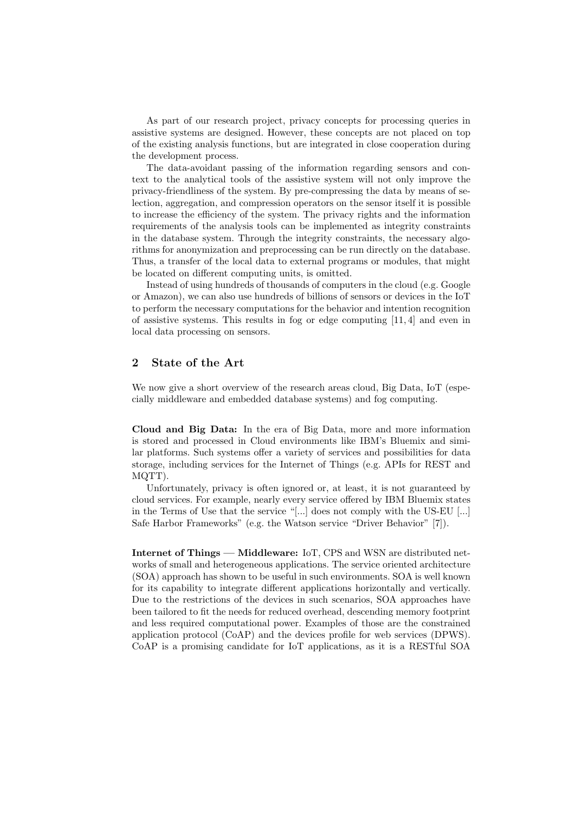As part of our research project, privacy concepts for processing queries in assistive systems are designed. However, these concepts are not placed on top of the existing analysis functions, but are integrated in close cooperation during the development process.

The data-avoidant passing of the information regarding sensors and context to the analytical tools of the assistive system will not only improve the privacy-friendliness of the system. By pre-compressing the data by means of selection, aggregation, and compression operators on the sensor itself it is possible to increase the efficiency of the system. The privacy rights and the information requirements of the analysis tools can be implemented as integrity constraints in the database system. Through the integrity constraints, the necessary algorithms for anonymization and preprocessing can be run directly on the database. Thus, a transfer of the local data to external programs or modules, that might be located on different computing units, is omitted.

Instead of using hundreds of thousands of computers in the cloud (e.g. Google or Amazon), we can also use hundreds of billions of sensors or devices in the IoT to perform the necessary computations for the behavior and intention recognition of assistive systems. This results in fog or edge computing [11, 4] and even in local data processing on sensors.

#### 2 State of the Art

We now give a short overview of the research areas cloud, Big Data, IoT (especially middleware and embedded database systems) and fog computing.

Cloud and Big Data: In the era of Big Data, more and more information is stored and processed in Cloud environments like IBM's Bluemix and similar platforms. Such systems offer a variety of services and possibilities for data storage, including services for the Internet of Things (e.g. APIs for REST and MQTT).

Unfortunately, privacy is often ignored or, at least, it is not guaranteed by cloud services. For example, nearly every service offered by IBM Bluemix states in the Terms of Use that the service "[...] does not comply with the US-EU [...] Safe Harbor Frameworks" (e.g. the Watson service "Driver Behavior" [7]).

Internet of Things — Middleware: IoT, CPS and WSN are distributed networks of small and heterogeneous applications. The service oriented architecture (SOA) approach has shown to be useful in such environments. SOA is well known for its capability to integrate different applications horizontally and vertically. Due to the restrictions of the devices in such scenarios, SOA approaches have been tailored to fit the needs for reduced overhead, descending memory footprint and less required computational power. Examples of those are the constrained application protocol (CoAP) and the devices profile for web services (DPWS). CoAP is a promising candidate for IoT applications, as it is a RESTful SOA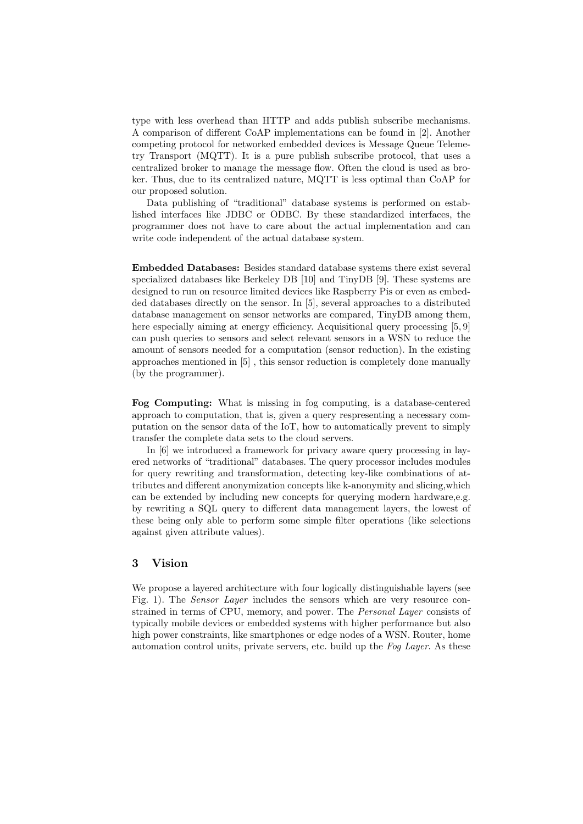type with less overhead than HTTP and adds publish subscribe mechanisms. A comparison of different CoAP implementations can be found in [2]. Another competing protocol for networked embedded devices is Message Queue Telemetry Transport (MQTT). It is a pure publish subscribe protocol, that uses a centralized broker to manage the message flow. Often the cloud is used as broker. Thus, due to its centralized nature, MQTT is less optimal than CoAP for our proposed solution.

Data publishing of "traditional" database systems is performed on established interfaces like JDBC or ODBC. By these standardized interfaces, the programmer does not have to care about the actual implementation and can write code independent of the actual database system.

Embedded Databases: Besides standard database systems there exist several specialized databases like Berkeley DB [10] and TinyDB [9]. These systems are designed to run on resource limited devices like Raspberry Pis or even as embedded databases directly on the sensor. In [5], several approaches to a distributed database management on sensor networks are compared, TinyDB among them, here especially aiming at energy efficiency. Acquisitional query processing [5, 9] can push queries to sensors and select relevant sensors in a WSN to reduce the amount of sensors needed for a computation (sensor reduction). In the existing approaches mentioned in [5] , this sensor reduction is completely done manually (by the programmer).

Fog Computing: What is missing in fog computing, is a database-centered approach to computation, that is, given a query respresenting a necessary computation on the sensor data of the IoT, how to automatically prevent to simply transfer the complete data sets to the cloud servers.

In [6] we introduced a framework for privacy aware query processing in layered networks of "traditional" databases. The query processor includes modules for query rewriting and transformation, detecting key-like combinations of attributes and different anonymization concepts like k-anonymity and slicing,which can be extended by including new concepts for querying modern hardware,e.g. by rewriting a SQL query to different data management layers, the lowest of these being only able to perform some simple filter operations (like selections against given attribute values).

## 3 Vision

We propose a layered architecture with four logically distinguishable layers (see Fig. 1). The *Sensor Layer* includes the sensors which are very resource constrained in terms of CPU, memory, and power. The *Personal Layer* consists of typically mobile devices or embedded systems with higher performance but also high power constraints, like smartphones or edge nodes of a WSN. Router, home automation control units, private servers, etc. build up the Fog Layer. As these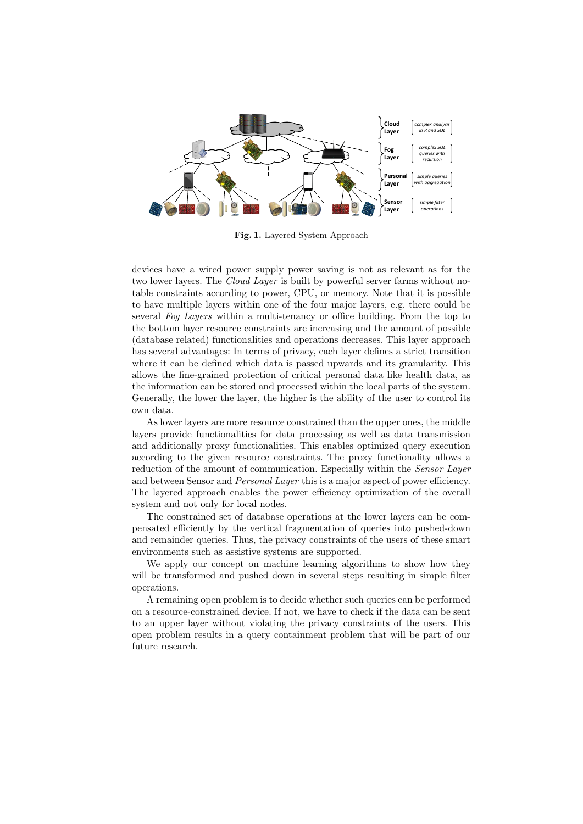

Fig. 1. Layered System Approach

devices have a wired power supply power saving is not as relevant as for the two lower layers. The *Cloud Layer* is built by powerful server farms without notable constraints according to power, CPU, or memory. Note that it is possible to have multiple layers within one of the four major layers, e.g. there could be several Fog Layers within a multi-tenancy or office building. From the top to the bottom layer resource constraints are increasing and the amount of possible (database related) functionalities and operations decreases. This layer approach has several advantages: In terms of privacy, each layer defines a strict transition where it can be defined which data is passed upwards and its granularity. This allows the fine-grained protection of critical personal data like health data, as the information can be stored and processed within the local parts of the system. Generally, the lower the layer, the higher is the ability of the user to control its own data.

As lower layers are more resource constrained than the upper ones, the middle layers provide functionalities for data processing as well as data transmission and additionally proxy functionalities. This enables optimized query execution according to the given resource constraints. The proxy functionality allows a reduction of the amount of communication. Especially within the *Sensor Layer* and between Sensor and *Personal Layer* this is a major aspect of power efficiency. The layered approach enables the power efficiency optimization of the overall system and not only for local nodes.

The constrained set of database operations at the lower layers can be compensated efficiently by the vertical fragmentation of queries into pushed-down and remainder queries. Thus, the privacy constraints of the users of these smart environments such as assistive systems are supported.

We apply our concept on machine learning algorithms to show how they will be transformed and pushed down in several steps resulting in simple filter operations.

A remaining open problem is to decide whether such queries can be performed on a resource-constrained device. If not, we have to check if the data can be sent to an upper layer without violating the privacy constraints of the users. This open problem results in a query containment problem that will be part of our future research.